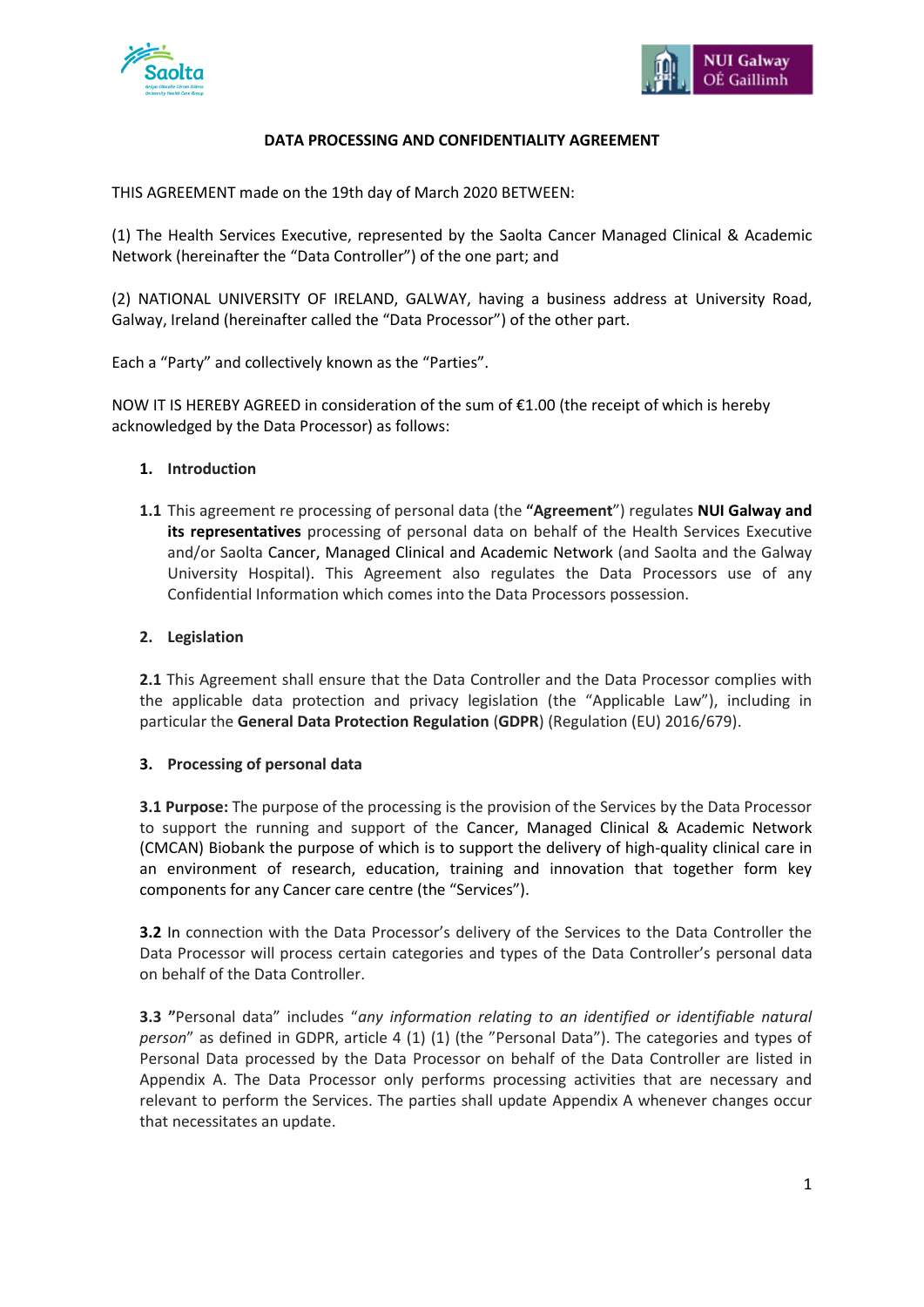



## **DATA PROCESSING AND CONFIDENTIALITY AGREEMENT**

THIS AGREEMENT made on the 19th day of March 2020 BETWEEN:

(1) The Health Services Executive, represented by the Saolta Cancer Managed Clinical & Academic Network (hereinafter the "Data Controller") of the one part; and

(2) NATIONAL UNIVERSITY OF IRELAND, GALWAY, having a business address at University Road, Galway, Ireland (hereinafter called the "Data Processor") of the other part.

Each a "Party" and collectively known as the "Parties".

NOW IT IS HEREBY AGREED in consideration of the sum of €1.00 (the receipt of which is hereby acknowledged by the Data Processor) as follows:

### **1. Introduction**

**1.1** This agreement re processing of personal data (the **"Agreement**") regulates **NUI Galway and its representatives** processing of personal data on behalf of the Health Services Executive and/or Saolta Cancer, Managed Clinical and Academic Network (and Saolta and the Galway University Hospital). This Agreement also regulates the Data Processors use of any Confidential Information which comes into the Data Processors possession.

## **2. Legislation**

**2.1** This Agreement shall ensure that the Data Controller and the Data Processor complies with the applicable data protection and privacy legislation (the "Applicable Law"), including in particular the **General Data Protection Regulation** (**GDPR**) (Regulation (EU) 2016/679).

### **3. Processing of personal data**

**3.1 Purpose:** The purpose of the processing is the provision of the Services by the Data Processor to support the running and support of the Cancer, Managed Clinical & Academic Network (CMCAN) Biobank the purpose of which is to support the delivery of high-quality clinical care in an environment of research, education, training and innovation that together form key components for any Cancer care centre (the "Services").

**3.2** In connection with the Data Processor's delivery of the Services to the Data Controller the Data Processor will process certain categories and types of the Data Controller's personal data on behalf of the Data Controller.

**3.3 "**Personal data" includes "*any information relating to an identified or identifiable natural person*" as defined in GDPR, article 4 (1) (1) (the "Personal Data"). The categories and types of Personal Data processed by the Data Processor on behalf of the Data Controller are listed in Appendix A. The Data Processor only performs processing activities that are necessary and relevant to perform the Services. The parties shall update Appendix A whenever changes occur that necessitates an update.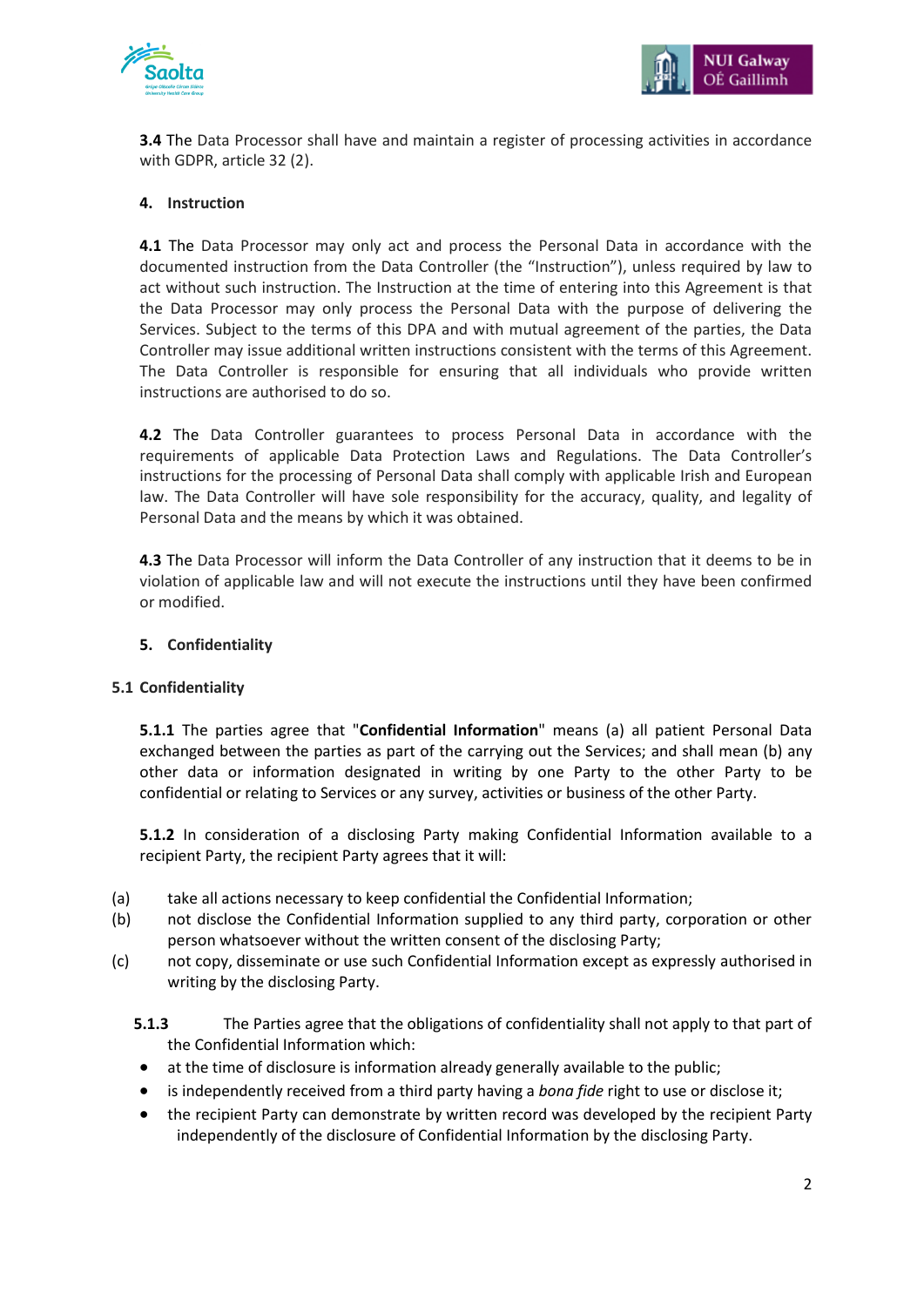



**3.4** The Data Processor shall have and maintain a register of processing activities in accordance with GDPR, article 32 (2).

### **4. Instruction**

**4.1** The Data Processor may only act and process the Personal Data in accordance with the documented instruction from the Data Controller (the "Instruction"), unless required by law to act without such instruction. The Instruction at the time of entering into this Agreement is that the Data Processor may only process the Personal Data with the purpose of delivering the Services. Subject to the terms of this DPA and with mutual agreement of the parties, the Data Controller may issue additional written instructions consistent with the terms of this Agreement. The Data Controller is responsible for ensuring that all individuals who provide written instructions are authorised to do so.

**4.2** The Data Controller guarantees to process Personal Data in accordance with the requirements of applicable Data Protection Laws and Regulations. The Data Controller's instructions for the processing of Personal Data shall comply with applicable Irish and European law. The Data Controller will have sole responsibility for the accuracy, quality, and legality of Personal Data and the means by which it was obtained.

**4.3** The Data Processor will inform the Data Controller of any instruction that it deems to be in violation of applicable law and will not execute the instructions until they have been confirmed or modified.

### **5. Confidentiality**

### **5.1 Confidentiality**

**5.1.1** The parties agree that "**Confidential Information**" means (a) all patient Personal Data exchanged between the parties as part of the carrying out the Services; and shall mean (b) any other data or information designated in writing by one Party to the other Party to be confidential or relating to Services or any survey, activities or business of the other Party.

**5.1.2** In consideration of a disclosing Party making Confidential Information available to a recipient Party, the recipient Party agrees that it will:

- (a) take all actions necessary to keep confidential the Confidential Information;
- (b) not disclose the Confidential Information supplied to any third party, corporation or other person whatsoever without the written consent of the disclosing Party;
- (c) not copy, disseminate or use such Confidential Information except as expressly authorised in writing by the disclosing Party.

**5.1.3** The Parties agree that the obligations of confidentiality shall not apply to that part of the Confidential Information which:

- at the time of disclosure is information already generally available to the public;
- is independently received from a third party having a *bona fide* right to use or disclose it;
- the recipient Party can demonstrate by written record was developed by the recipient Party independently of the disclosure of Confidential Information by the disclosing Party.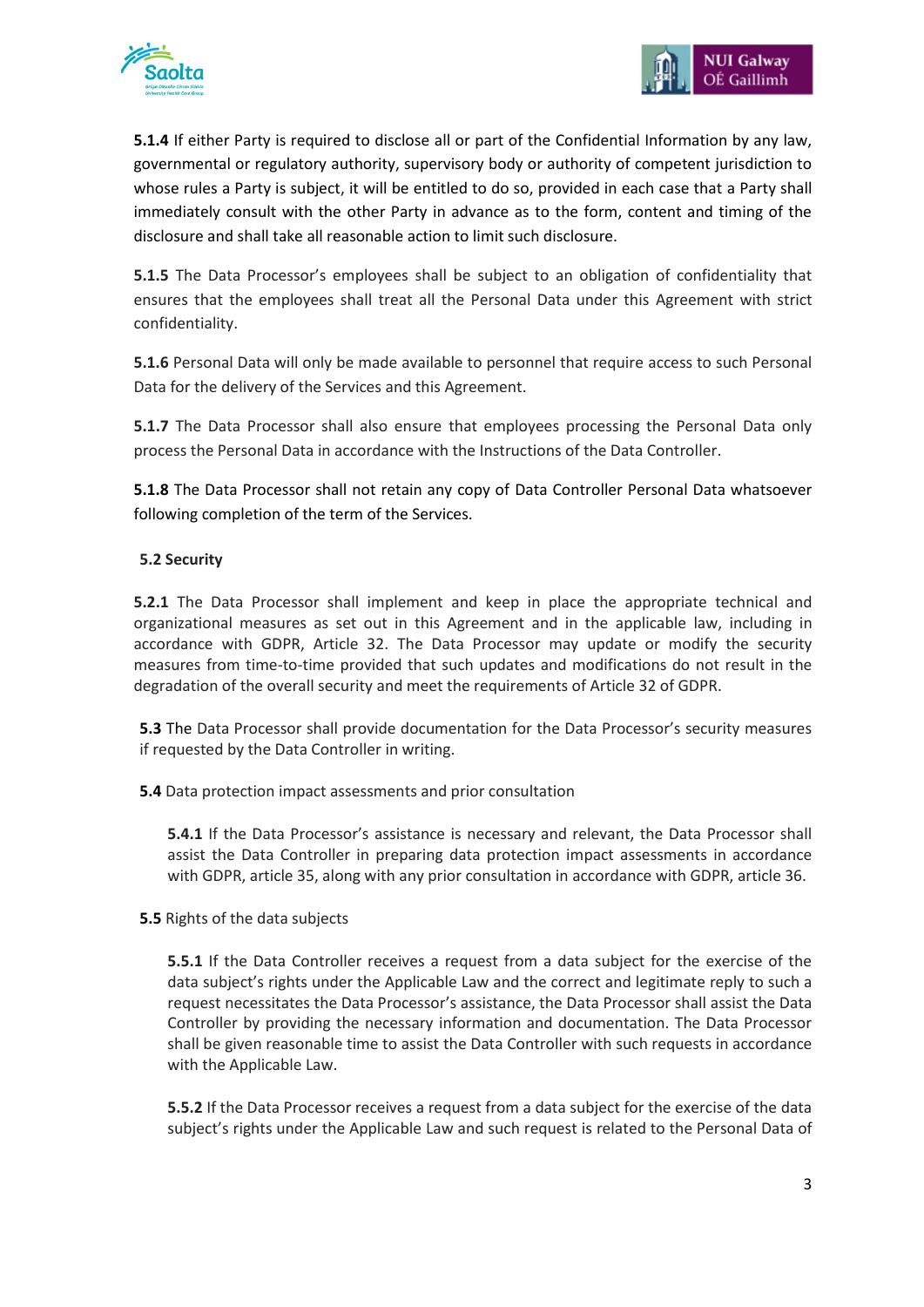

**5.1.4** If either Party is required to disclose all or part of the Confidential Information by any law, governmental or regulatory authority, supervisory body or authority of competent jurisdiction to whose rules a Party is subject, it will be entitled to do so, provided in each case that a Party shall immediately consult with the other Party in advance as to the form, content and timing of the disclosure and shall take all reasonable action to limit such disclosure.

**5.1.5** The Data Processor's employees shall be subject to an obligation of confidentiality that ensures that the employees shall treat all the Personal Data under this Agreement with strict confidentiality.

**5.1.6** Personal Data will only be made available to personnel that require access to such Personal Data for the delivery of the Services and this Agreement.

**5.1.7** The Data Processor shall also ensure that employees processing the Personal Data only process the Personal Data in accordance with the Instructions of the Data Controller.

**5.1.8** The Data Processor shall not retain any copy of Data Controller Personal Data whatsoever following completion of the term of the Services.

# **5.2 Security**

**5.2.1** The Data Processor shall implement and keep in place the appropriate technical and organizational measures as set out in this Agreement and in the applicable law, including in accordance with GDPR, Article 32. The Data Processor may update or modify the security measures from time-to-time provided that such updates and modifications do not result in the degradation of the overall security and meet the requirements of Article 32 of GDPR.

**5.3** The Data Processor shall provide documentation for the Data Processor's security measures if requested by the Data Controller in writing.

**5.4** Data protection impact assessments and prior consultation

**5.4.1** If the Data Processor's assistance is necessary and relevant, the Data Processor shall assist the Data Controller in preparing data protection impact assessments in accordance with GDPR, article 35, along with any prior consultation in accordance with GDPR, article 36.

# **5.5** Rights of the data subjects

**5.5.1** If the Data Controller receives a request from a data subject for the exercise of the data subject's rights under the Applicable Law and the correct and legitimate reply to such a request necessitates the Data Processor's assistance, the Data Processor shall assist the Data Controller by providing the necessary information and documentation. The Data Processor shall be given reasonable time to assist the Data Controller with such requests in accordance with the Applicable Law.

**5.5.2** If the Data Processor receives a request from a data subject for the exercise of the data subject's rights under the Applicable Law and such request is related to the Personal Data of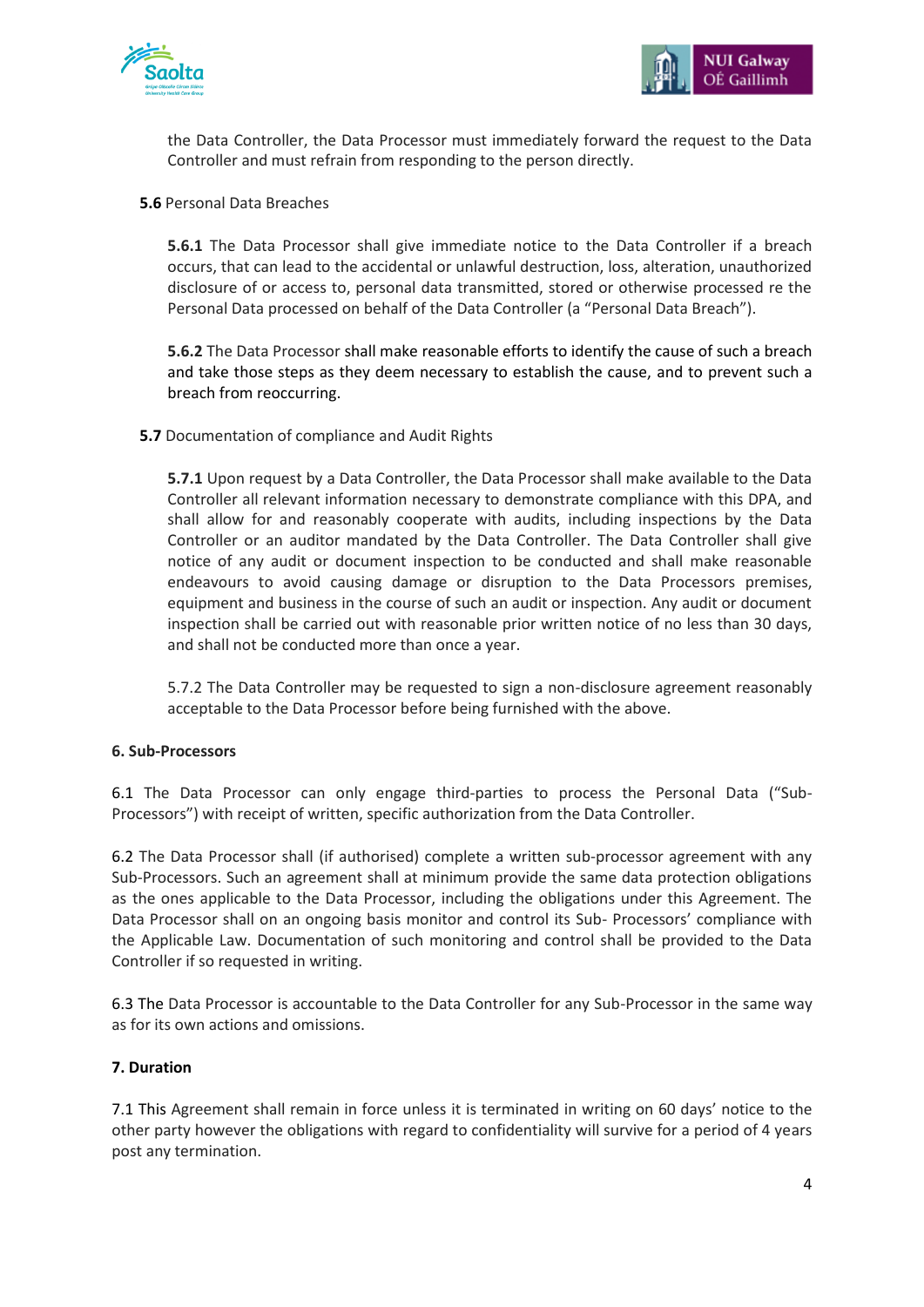

the Data Controller, the Data Processor must immediately forward the request to the Data Controller and must refrain from responding to the person directly.

### **5.6** Personal Data Breaches

**5.6.1** The Data Processor shall give immediate notice to the Data Controller if a breach occurs, that can lead to the accidental or unlawful destruction, loss, alteration, unauthorized disclosure of or access to, personal data transmitted, stored or otherwise processed re the Personal Data processed on behalf of the Data Controller (a "Personal Data Breach").

**5.6.2** The Data Processor shall make reasonable efforts to identify the cause of such a breach and take those steps as they deem necessary to establish the cause, and to prevent such a breach from reoccurring.

## **5.7** Documentation of compliance and Audit Rights

**5.7.1** Upon request by a Data Controller, the Data Processor shall make available to the Data Controller all relevant information necessary to demonstrate compliance with this DPA, and shall allow for and reasonably cooperate with audits, including inspections by the Data Controller or an auditor mandated by the Data Controller. The Data Controller shall give notice of any audit or document inspection to be conducted and shall make reasonable endeavours to avoid causing damage or disruption to the Data Processors premises, equipment and business in the course of such an audit or inspection. Any audit or document inspection shall be carried out with reasonable prior written notice of no less than 30 days, and shall not be conducted more than once a year.

5.7.2 The Data Controller may be requested to sign a non-disclosure agreement reasonably acceptable to the Data Processor before being furnished with the above.

### **6. Sub-Processors**

6.1 The Data Processor can only engage third-parties to process the Personal Data ("Sub-Processors") with receipt of written, specific authorization from the Data Controller.

6.2 The Data Processor shall (if authorised) complete a written sub-processor agreement with any Sub-Processors. Such an agreement shall at minimum provide the same data protection obligations as the ones applicable to the Data Processor, including the obligations under this Agreement. The Data Processor shall on an ongoing basis monitor and control its Sub- Processors' compliance with the Applicable Law. Documentation of such monitoring and control shall be provided to the Data Controller if so requested in writing.

6.3 The Data Processor is accountable to the Data Controller for any Sub-Processor in the same way as for its own actions and omissions.

### **7. Duration**

7.1 This Agreement shall remain in force unless it is terminated in writing on 60 days' notice to the other party however the obligations with regard to confidentiality will survive for a period of 4 years post any termination.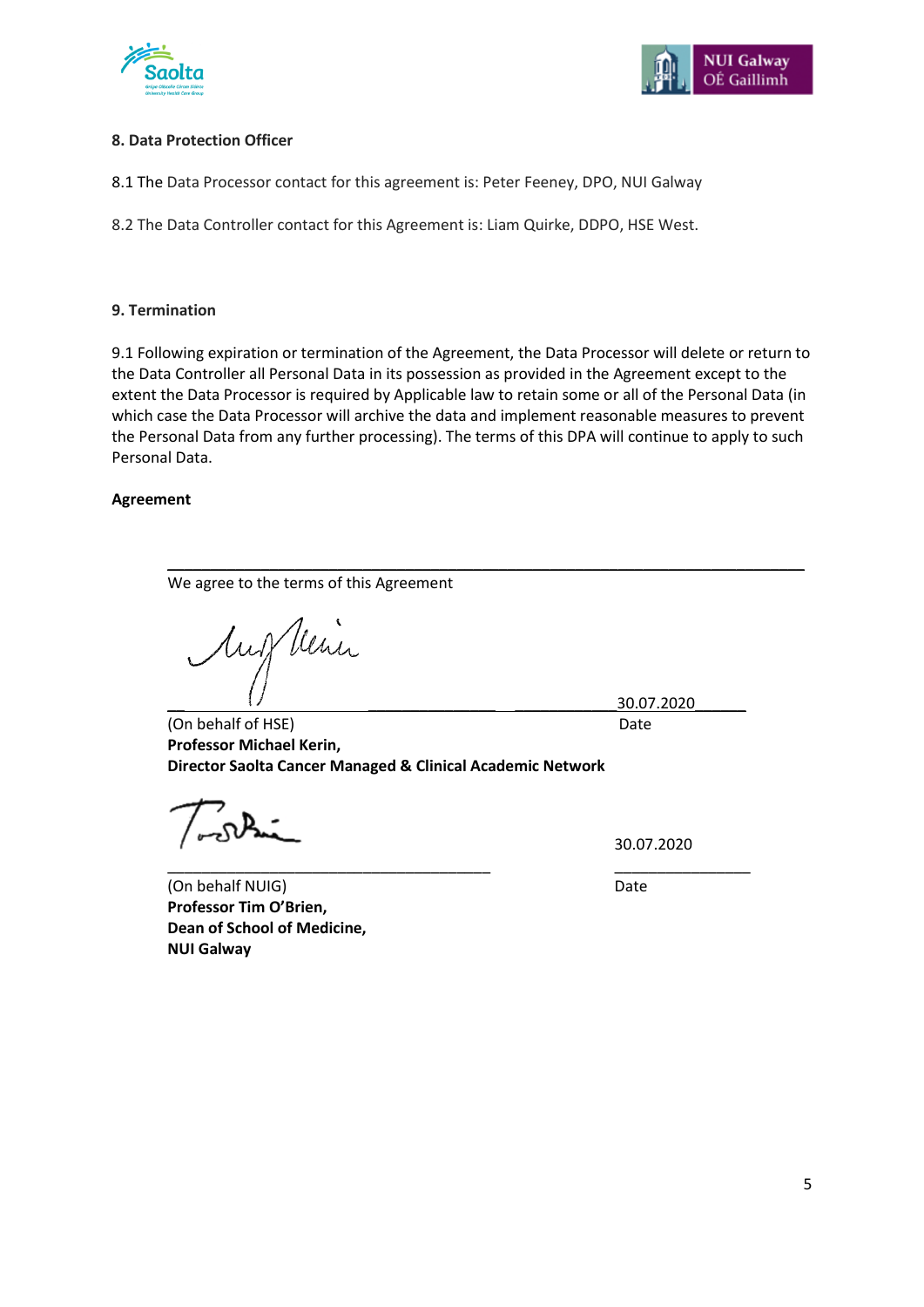



### **8. Data Protection Officer**

8.1 The Data Processor contact for this agreement is: Peter Feeney, DPO, NUI Galway

8.2 The Data Controller contact for this Agreement is: Liam Quirke, DDPO, HSE West.

### **9. Termination**

9.1 Following expiration or termination of the Agreement, the Data Processor will delete or return to the Data Controller all Personal Data in its possession as provided in the Agreement except to the extent the Data Processor is required by Applicable law to retain some or all of the Personal Data (in which case the Data Processor will archive the data and implement reasonable measures to prevent the Personal Data from any further processing). The terms of this DPA will continue to apply to such Personal Data.

\_\_\_\_\_\_\_\_\_\_\_\_\_\_\_\_\_\_\_\_\_\_\_\_\_\_\_\_\_\_\_\_\_\_\_\_\_\_\_\_\_\_\_\_\_\_\_\_\_\_\_\_\_\_\_\_\_\_\_\_\_\_\_\_\_\_\_\_\_\_\_\_\_\_\_

\_\_\_\_\_\_\_\_\_\_\_\_\_\_\_\_\_\_\_\_\_\_\_\_\_\_\_\_\_\_\_\_\_\_\_\_\_\_ \_\_\_\_\_\_\_\_\_\_\_\_\_\_\_\_

#### **Agreement**

We agree to the terms of this Agreement

Aug Vein

\_\_ \_\_\_\_\_\_\_\_\_\_\_\_\_\_\_ \_\_\_\_\_\_\_\_\_\_\_\_30.07.2020\_\_\_\_\_\_

(On behalf of HSE) Date **Professor Michael Kerin, Director Saolta Cancer Managed & Clinical Academic Network**

30.07.2020

(On behalf NUIG) Date **Professor Tim O'Brien, Dean of School of Medicine, NUI Galway**